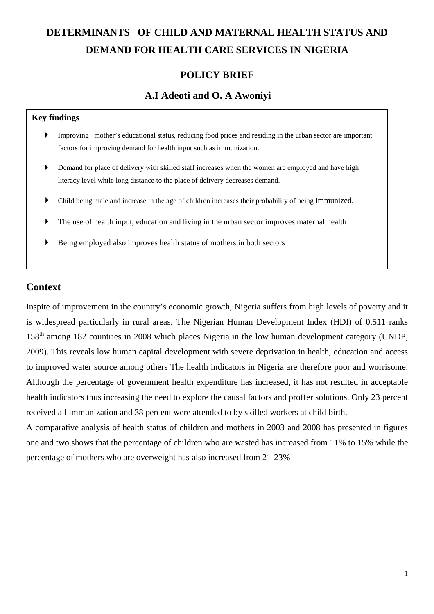# **DETERMINANTS OF CHILD AND MATERNAL HEALTH STATUS AND DEMAND FOR HEALTH CARE SERVICES IN NIGERIA**

## **POLICY BRIEF**

## **A.I Adeoti and O. A Awoniyi**

#### **Key findings**

- Improving mother's educational status, reducing food prices and residing in the urban sector are important factors for improving demand for health input such as immunization.
- Demand for place of delivery with skilled staff increases when the women are employed and have high literacy level while long distance to the place of delivery decreases demand.
- Child being male and increase in the age of children increases their probability of being immunized.
- The use of health input, education and living in the urban sector improves maternal health
- Being employed also improves health status of mothers in both sectors

## **Context**

Inspite of improvement in the country's economic growth, Nigeria suffers from high levels of poverty and it is widespread particularly in rural areas. The Nigerian Human Development Index (HDI) of 0.511 ranks 158th among 182 countries in 2008 which places Nigeria in the low human development category (UNDP, 2009). This reveals low human capital development with severe deprivation in health, education and access to improved water source among others The health indicators in Nigeria are therefore poor and worrisome. Although the percentage of government health expenditure has increased, it has not resulted in acceptable health indicators thus increasing the need to explore the causal factors and proffer solutions. Only 23 percent received all immunization and 38 percent were attended to by skilled workers at child birth.

A comparative analysis of health status of children and mothers in 2003 and 2008 has presented in figures one and two shows that the percentage of children who are wasted has increased from 11% to 15% while the percentage of mothers who are overweight has also increased from 21-23%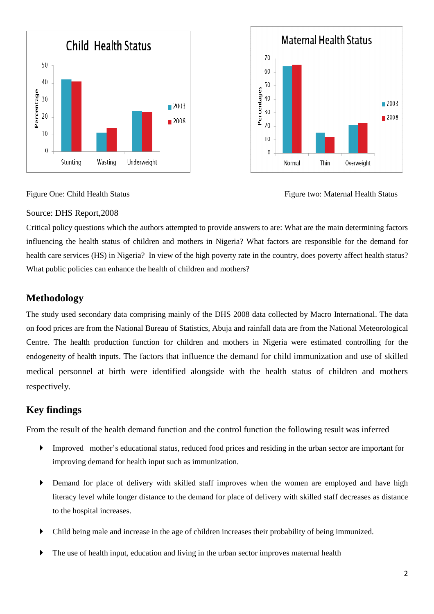



Figure One: Child Health Status Figure two: Maternal Health Status

#### Source: DHS Report,2008

Critical policy questions which the authors attempted to provide answers to are: What are the main determining factors influencing the health status of children and mothers in Nigeria? What factors are responsible for the demand for health care services (HS) in Nigeria? In view of the high poverty rate in the country, does poverty affect health status? What public policies can enhance the health of children and mothers?

#### **Methodology**

The study used secondary data comprising mainly of the DHS 2008 data collected by Macro International. The data on food prices are from the National Bureau of Statistics, Abuja and rainfall data are from the National Meteorological Centre. The health production function for children and mothers in Nigeria were estimated controlling for the endogeneity of health inputs. The factors that influence the demand for child immunization and use of skilled medical personnel at birth were identified alongside with the health status of children and mothers respectively.

### **Key findings**

From the result of the health demand function and the control function the following result was inferred

- Improved mother's educational status, reduced food prices and residing in the urban sector are important for improving demand for health input such as immunization.
- Demand for place of delivery with skilled staff improves when the women are employed and have high literacy level while longer distance to the demand for place of delivery with skilled staff decreases as distance to the hospital increases.
- Child being male and increase in the age of children increases their probability of being immunized.
- The use of health input, education and living in the urban sector improves maternal health